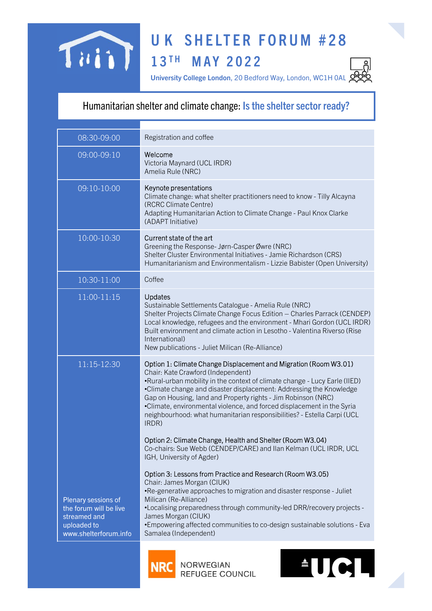

## U K SHELTER FORUM #28<br>13<sup>TH</sup> MAY 2022<br>University College London, 20 Bedford Way, London, WC1H 0AL 2022 UK SHELTER FORUM #28<br>
13<sup>TH</sup> MAY 2022<br>
University College London, 20 Bedford Way, London, WCIHOAL 22<br>
Ther and climate change: Is the shelter sector ready?

## Humanitarian shelter and climate change: Is the shelter sector ready?

|                                                                                                       | <b>UK SHELTER FORUM #28</b>                                                                                                                                                                                                                                                                                                                                                                                                                                                                |
|-------------------------------------------------------------------------------------------------------|--------------------------------------------------------------------------------------------------------------------------------------------------------------------------------------------------------------------------------------------------------------------------------------------------------------------------------------------------------------------------------------------------------------------------------------------------------------------------------------------|
|                                                                                                       | 13TH MAY 2022<br>University College London, 20 Bedford Way, London, WC1H 0AL                                                                                                                                                                                                                                                                                                                                                                                                               |
|                                                                                                       | Humanitarian shelter and climate change: Is the shelter sector ready?                                                                                                                                                                                                                                                                                                                                                                                                                      |
| 08:30-09:00                                                                                           | Registration and coffee                                                                                                                                                                                                                                                                                                                                                                                                                                                                    |
| 09:00-09:10                                                                                           | Welcome<br>Victoria Maynard (UCL IRDR)<br>Amelia Rule (NRC)                                                                                                                                                                                                                                                                                                                                                                                                                                |
| 09:10-10:00                                                                                           | Keynote presentations<br>Climate change: what shelter practitioners need to know - Tilly Alcayna<br>(RCRC Climate Centre)<br>Adapting Humanitarian Action to Climate Change - Paul Knox Clarke<br>(ADAPT Initiative)                                                                                                                                                                                                                                                                       |
| 10:00-10:30                                                                                           | Current state of the art<br>Greening the Response- Jørn-Casper Øwre (NRC)<br>Shelter Cluster Environmental Initiatives - Jamie Richardson (CRS)<br>Humanitarianism and Environmentalism - Lizzie Babister (Open University)                                                                                                                                                                                                                                                                |
| 10:30-11:00                                                                                           | Coffee                                                                                                                                                                                                                                                                                                                                                                                                                                                                                     |
| $11:00-11:15$                                                                                         | <b>Updates</b><br>Sustainable Settlements Catalogue - Amelia Rule (NRC)<br>Shelter Projects Climate Change Focus Edition - Charles Parrack (CENDEP)<br>Local knowledge, refugees and the environment - Mhari Gordon (UCL IRDR)<br>Built environment and climate action in Lesotho - Valentina Riverso (Rise<br>International)<br>New publications - Juliet Milican (Re-Alliance)                                                                                                           |
| 11:15-12:30                                                                                           | Option 1: Climate Change Displacement and Migration (Room W3.01)<br>Chair: Kate Crawford (Independent)<br>•Rural-urban mobility in the context of climate change - Lucy Earle (IIED)<br>•Climate change and disaster displacement: Addressing the Knowledge<br>Gap on Housing, land and Property rights - Jim Robinson (NRC)<br>•Climate, environmental violence, and forced displacement in the Syria<br>neighbourhood: what humanitarian responsibilities? - Estella Carpi (UCL<br>IRDR) |
|                                                                                                       | Option 2: Climate Change, Health and Shelter (Room W3.04)<br>Co-chairs: Sue Webb (CENDEP/CARE) and Ilan Kelman (UCL IRDR, UCL<br>IGH, University of Agder)                                                                                                                                                                                                                                                                                                                                 |
| Plenary sessions of<br>the forum will be live<br>streamed and<br>uploaded to<br>www.shelterforum.info | Option 3: Lessons from Practice and Research (Room W3.05)<br>Chair: James Morgan (CIUK)<br>•Re-generative approaches to migration and disaster response - Juliet<br>Milican (Re-Alliance)<br>•Localising preparedness through community-led DRR/recovery projects -<br>James Morgan (CIUK)<br>•Empowering affected communities to co-design sustainable solutions - Eva<br>Samalea (Independent)                                                                                           |
|                                                                                                       | $\textcolor{red}{\bullet} \textcolor{red}{\textbf{U}} \textcolor{red}{\textbf{C}} \textcolor{red}{\textbf{L}}$<br><b>NORWEGIAN</b><br>REFUGEE COUNCIL                                                                                                                                                                                                                                                                                                                                      |